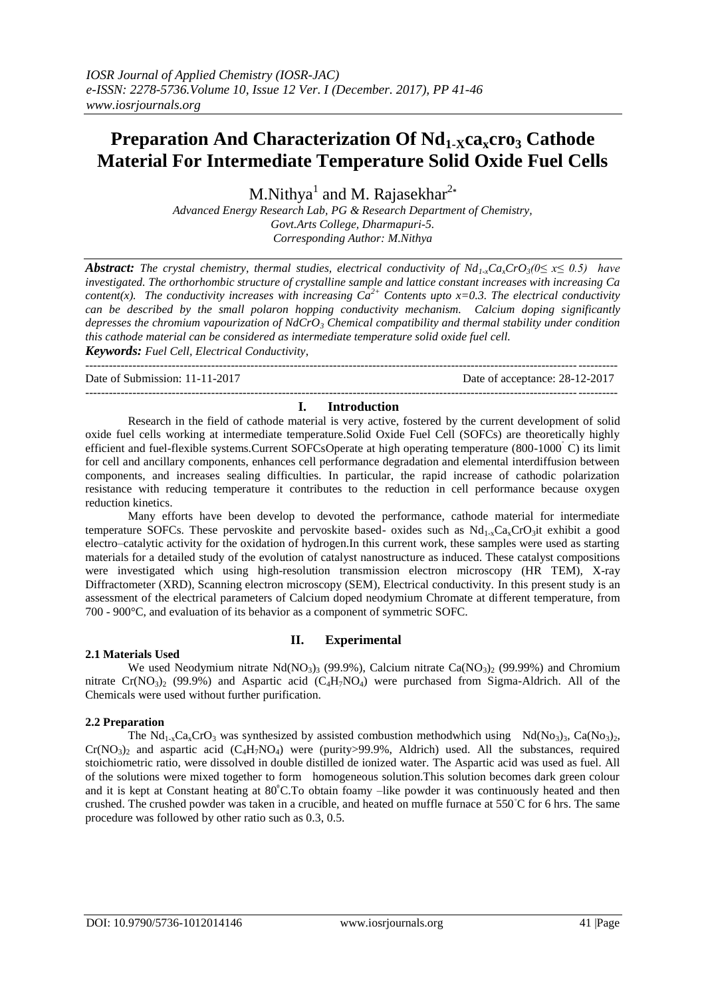# **Preparation And Characterization Of Nd<sub>1-X</sub><sup>ca</sup><sub>x</sub>cro<sub>3</sub> Cathode Material For Intermediate Temperature Solid Oxide Fuel Cells**

M.Nithya<sup>1</sup> and M. Rajasekhar<sup>2\*</sup>

*Advanced Energy Research Lab, PG & Research Department of Chemistry, Govt.Arts College, Dharmapuri-5. Corresponding Author: M.Nithya*

*Abstract: The crystal chemistry, thermal studies, electrical conductivity of*  $Nd_{1x}Ca_xCrO_3(0 \le x \le 0.5)$  *have investigated. The orthorhombic structure of crystalline sample and lattice constant increases with increasing Ca content(x). The conductivity increases with increasing*  $Ca^{2+}$  *Contents upto x=0.3. The electrical conductivity can be described by the small polaron hopping conductivity mechanism. Calcium doping significantly depresses the chromium vapourization of NdCrO<sup>3</sup> Chemical compatibility and thermal stability under condition this cathode material can be considered as intermediate temperature solid oxide fuel cell. Keywords: Fuel Cell, Electrical Conductivity*,

Date of Submission: 11-11-2017 Date of acceptance: 28-12-2017

---------------------------------------------------------------------------------------------------------------------------------------

### --------------------------------------------------------------------------------------------------------------------------------------- **I. Introduction**

Research in the field of cathode material is very active, fostered by the current development of solid oxide fuel cells working at intermediate temperature.Solid Oxide Fuel Cell (SOFCs) are theoretically highly efficient and fuel-flexible systems.Current SOFCsOperate at high operating temperature (800-1000˚ C) its limit for cell and ancillary components, enhances cell performance degradation and elemental interdiffusion between components, and increases sealing difficulties. In particular, the rapid increase of cathodic polarization resistance with reducing temperature it contributes to the reduction in cell performance because oxygen reduction kinetics.

Many efforts have been develop to devoted the performance, cathode material for intermediate temperature SOFCs. These pervoskite and pervoskite based- oxides such as  $Nd_{1x}Ca_xCrO_3$ it exhibit a good electro–catalytic activity for the oxidation of hydrogen.In this current work, these samples were used as starting materials for a detailed study of the evolution of catalyst nanostructure as induced. These catalyst compositions were investigated which using high-resolution transmission electron microscopy (HR TEM), X-ray Diffractometer (XRD), Scanning electron microscopy (SEM), Electrical conductivity. In this present study is an assessment of the electrical parameters of Calcium doped neodymium Chromate at different temperature, from 700 - 900°C, and evaluation of its behavior as a component of symmetric SOFC.

#### **2.1 Materials Used**

## **II. Experimental**

We used Neodymium nitrate  $Nd(NO_3)$ <sub>3</sub> (99.9%), Calcium nitrate Ca( $NO_3$ )<sub>2</sub> (99.99%) and Chromium nitrate  $Cr(NO<sub>3</sub>)$  (99.9%) and Aspartic acid  $(C<sub>4</sub>H<sub>7</sub>NO<sub>4</sub>)$  were purchased from Sigma-Aldrich. All of the Chemicals were used without further purification.

#### **2.2 Preparation**

The Nd<sub>1-x</sub>Ca<sub>x</sub>CrO<sub>3</sub> was synthesized by assisted combustion methodwhich using Nd(No<sub>3</sub>)<sub>3</sub>, Ca(No<sub>3</sub>)<sub>2</sub>,  $Cr(NO<sub>3</sub>)<sub>2</sub>$  and aspartic acid  $(C_4H_7NO_4)$  were (purity>99.9%, Aldrich) used. All the substances, required stoichiometric ratio, were dissolved in double distilled de ionized water. The Aspartic acid was used as fuel. All of the solutions were mixed together to form homogeneous solution.This solution becomes dark green colour and it is kept at Constant heating at  $80^{\circ}$ C.To obtain foamy –like powder it was continuously heated and then crushed. The crushed powder was taken in a crucible, and heated on muffle furnace at 550◦C for 6 hrs. The same procedure was followed by other ratio such as 0.3, 0.5.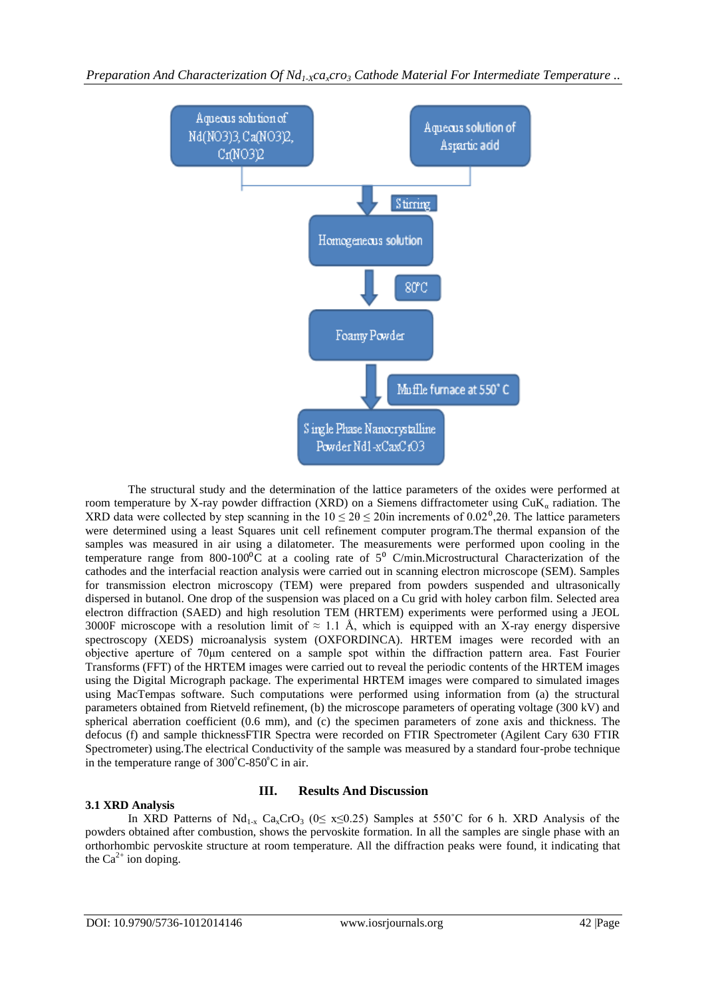

The structural study and the determination of the lattice parameters of the oxides were performed at room temperature by X-ray powder diffraction (XRD) on a Siemens diffractometer using  $CuK<sub>a</sub>$  radiation. The XRD data were collected by step scanning in the  $10 \le 2\theta \le 20$ in increments of 0.02<sup>0</sup>,2θ. The lattice parameters were determined using a least Squares unit cell refinement computer program.The thermal expansion of the samples was measured in air using a dilatometer. The measurements were performed upon cooling in the temperature range from 800-100 $^{\circ}$ C at a cooling rate of  $5^{\circ}$  C/min.Microstructural Characterization of the cathodes and the interfacial reaction analysis were carried out in scanning electron microscope (SEM). Samples for transmission electron microscopy (TEM) were prepared from powders suspended and ultrasonically dispersed in butanol. One drop of the suspension was placed on a Cu grid with holey carbon film. Selected area electron diffraction (SAED) and high resolution TEM (HRTEM) experiments were performed using a JEOL 3000F microscope with a resolution limit of  $\approx 1.1$  Å, which is equipped with an X-ray energy dispersive spectroscopy (XEDS) microanalysis system (OXFORDINCA). HRTEM images were recorded with an objective aperture of 70μm centered on a sample spot within the diffraction pattern area. Fast Fourier Transforms (FFT) of the HRTEM images were carried out to reveal the periodic contents of the HRTEM images using the Digital Micrograph package. The experimental HRTEM images were compared to simulated images using MacTempas software. Such computations were performed using information from (a) the structural parameters obtained from Rietveld refinement, (b) the microscope parameters of operating voltage (300 kV) and spherical aberration coefficient (0.6 mm), and (c) the specimen parameters of zone axis and thickness. The defocus (f) and sample thicknessFTIR Spectra were recorded on FTIR Spectrometer (Agilent Cary 630 FTIR Spectrometer) using.The electrical Conductivity of the sample was measured by a standard four-probe technique in the temperature range of  $300^{\circ}$ C-850<sup>°</sup>C in air.

#### **3.1 XRD Analysis**

## **III. Results And Discussion**

In XRD Patterns of  $Nd_{1-x}$  Ca<sub>x</sub>CrO<sub>3</sub> (0≤ x≤0.25) Samples at 550°C for 6 h. XRD Analysis of the powders obtained after combustion, shows the pervoskite formation. In all the samples are single phase with an orthorhombic pervoskite structure at room temperature. All the diffraction peaks were found, it indicating that the  $Ca^{2+}$  ion doping.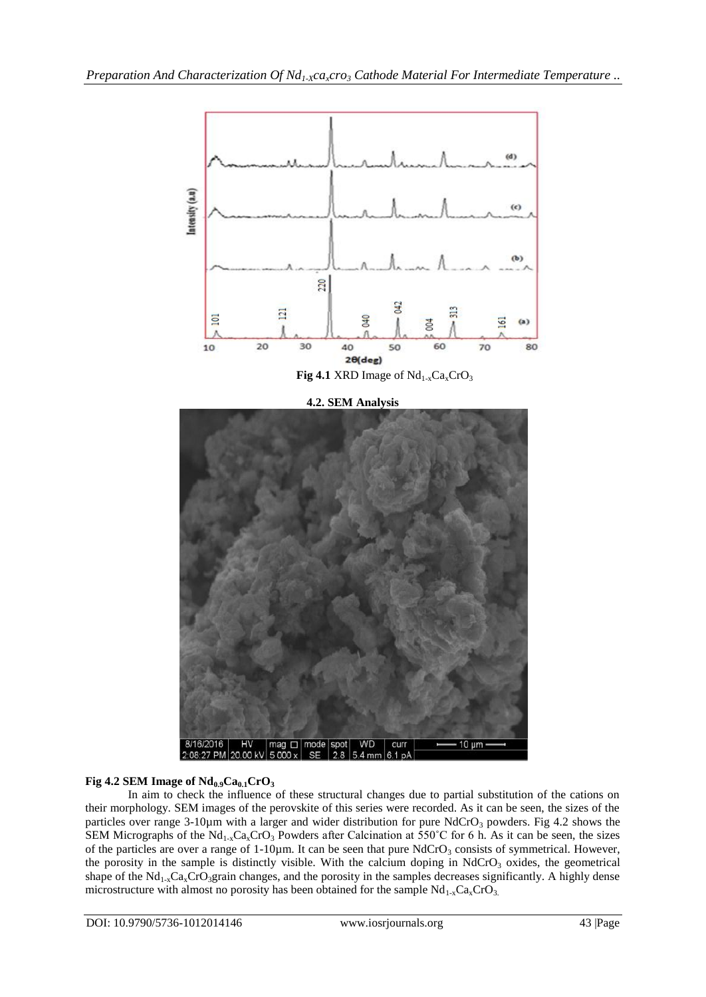

## **Fig 4.2 SEM Image of**  $Nd_{0.9}Ca_{0.1}CrO_3$

In aim to check the influence of these structural changes due to partial substitution of the cations on their morphology. SEM images of the perovskite of this series were recorded. As it can be seen, the sizes of the particles over range 3-10µm with a larger and wider distribution for pure NdCrO<sub>3</sub> powders. Fig 4.2 shows the SEM Micrographs of the Nd<sub>1-x</sub>Ca<sub>x</sub>CrO<sub>3</sub> Powders after Calcination at 550°C for 6 h. As it can be seen, the sizes of the particles are over a range of  $1-10\mu$ m. It can be seen that pure NdCrO<sub>3</sub> consists of symmetrical. However, the porosity in the sample is distinctly visible. With the calcium doping in  $NdCrO<sub>3</sub>$  oxides, the geometrical shape of the  $Nd_{1-x}Ca_xCrO_3$ grain changes, and the porosity in the samples decreases significantly. A highly dense microstructure with almost no porosity has been obtained for the sample  $Nd_{1-x}Ca_xCrO_3$ .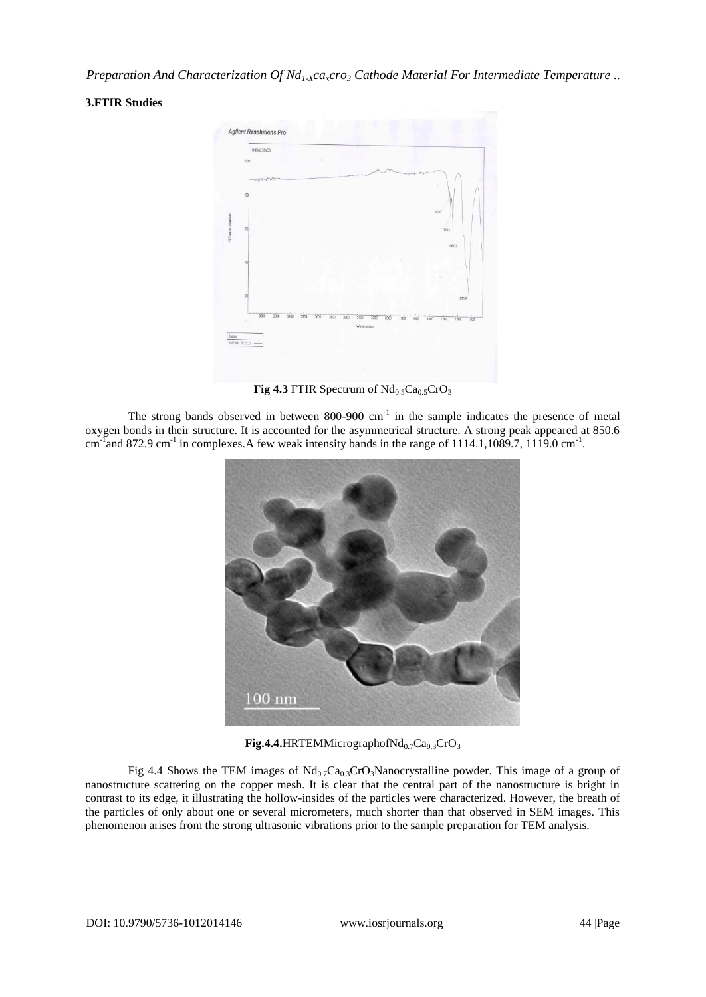## **3.FTIR Studies**



**Fig 4.3** FTIR Spectrum of  $Nd_{0.5}Ca_{0.5}CrO_3$ 

The strong bands observed in between  $800-900$  cm<sup>-1</sup> in the sample indicates the presence of metal oxygen bonds in their structure. It is accounted for the asymmetrical structure. A strong peak appeared at 850.6 cm<sup>-1</sup> and 872.9 cm<sup>-1</sup> in complexes. A few weak intensity bands in the range of 1114.1,1089.7, 1119.0 cm<sup>-1</sup>.



Fig.4.4.HRTEMMicrographofNd<sub>0.7</sub>Ca<sub>0.3</sub>CrO<sub>3</sub>

Fig 4.4 Shows the TEM images of  $Nd_{0.7}Ca_{0.3}CrO_3$ Nanocrystalline powder. This image of a group of nanostructure scattering on the copper mesh. It is clear that the central part of the nanostructure is bright in contrast to its edge, it illustrating the hollow-insides of the particles were characterized. However, the breath of the particles of only about one or several micrometers, much shorter than that observed in SEM images. This phenomenon arises from the strong ultrasonic vibrations prior to the sample preparation for TEM analysis.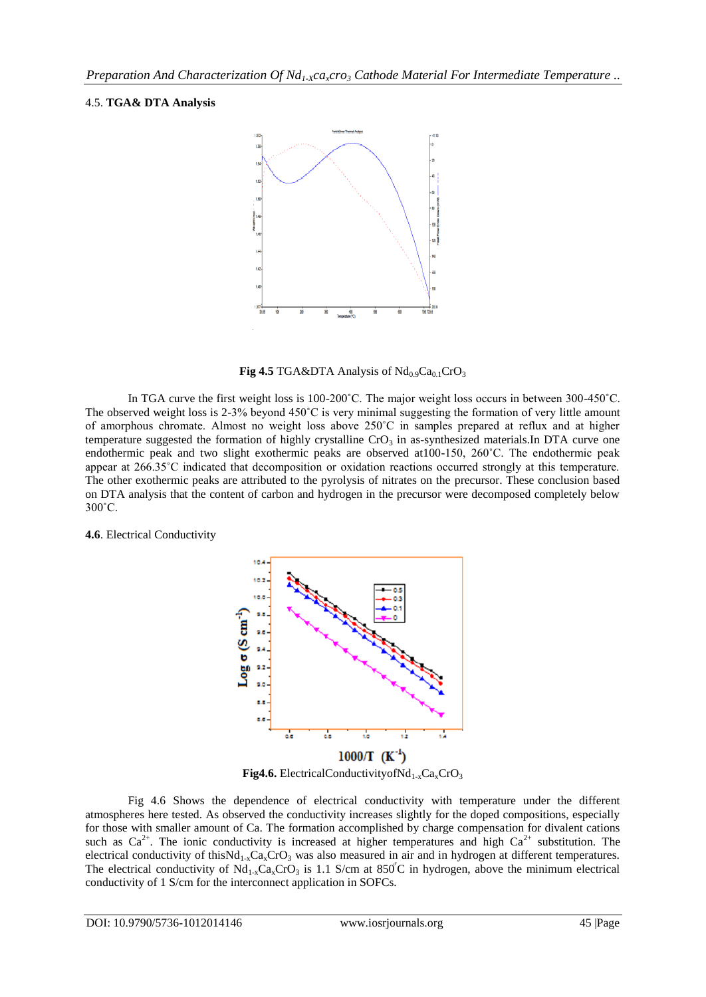## 4.5. **TGA& DTA Analysis**



**Fig 4.5** TGA&DTA Analysis of  $Nd_{0.9}Ca_{0.1}CrO_3$ 

In TGA curve the first weight loss is 100-200°C. The major weight loss occurs in between 300-450°C. The observed weight loss is 2-3% beyond 450˚C is very minimal suggesting the formation of very little amount of amorphous chromate. Almost no weight loss above 250˚C in samples prepared at reflux and at higher temperature suggested the formation of highly crystalline  $CrO<sub>3</sub>$  in as-synthesized materials.In DTA curve one endothermic peak and two slight exothermic peaks are observed at100-150, 260˚C. The endothermic peak appear at 266.35˚C indicated that decomposition or oxidation reactions occurred strongly at this temperature. The other exothermic peaks are attributed to the pyrolysis of nitrates on the precursor. These conclusion based on DTA analysis that the content of carbon and hydrogen in the precursor were decomposed completely below 300˚C.

**4.6**. Electrical Conductivity



Fig 4.6 Shows the dependence of electrical conductivity with temperature under the different atmospheres here tested. As observed the conductivity increases slightly for the doped compositions, especially for those with smaller amount of Ca. The formation accomplished by charge compensation for divalent cations such as  $Ca^{2+}$ . The ionic conductivity is increased at higher temperatures and high  $Ca^{2+}$  substitution. The electrical conductivity of this $Nd_{1-x}Ca_xCrO_3$  was also measured in air and in hydrogen at different temperatures. The electrical conductivity of  $Nd_{1-x}Ca_xCrO_3$  is 1.1 S/cm at 850°C in hydrogen, above the minimum electrical conductivity of 1 S/cm for the interconnect application in SOFCs.